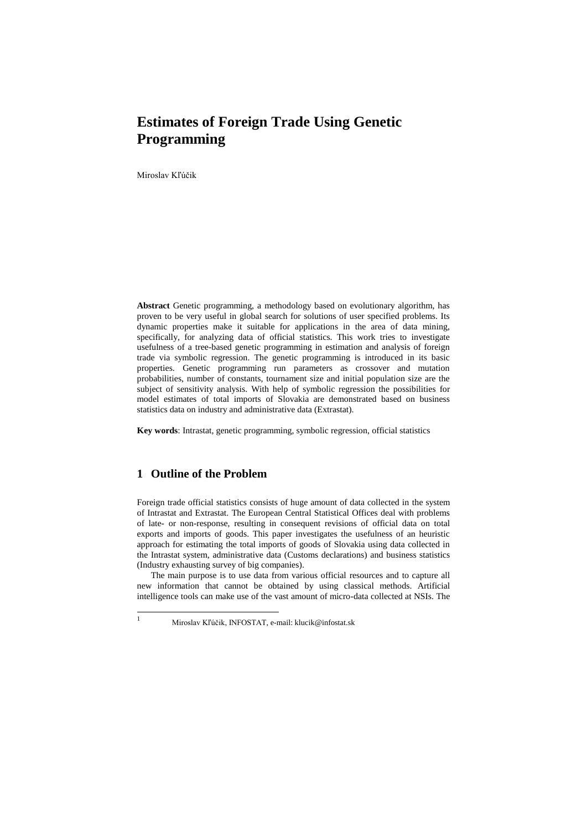# **Estimates of Foreign Trade Using Genetic Programming**

Miroslav Kľúčik

**Abstract** Genetic programming, a methodology based on evolutionary algorithm, has proven to be very useful in global search for solutions of user specified problems. Its dynamic properties make it suitable for applications in the area of data mining, specifically, for analyzing data of official statistics. This work tries to investigate usefulness of a tree-based genetic programming in estimation and analysis of foreign trade via symbolic regression. The genetic programming is introduced in its basic properties. Genetic programming run parameters as crossover and mutation probabilities, number of constants, tournament size and initial population size are the subject of sensitivity analysis. With help of symbolic regression the possibilities for model estimates of total imports of Slovakia are demonstrated based on business statistics data on industry and administrative data (Extrastat).

**Key words**: Intrastat, genetic programming, symbolic regression, official statistics

# **1 Outline of the Problem**

 $\mathbf{1}$ 

Foreign trade official statistics consists of huge amount of data collected in the system of Intrastat and Extrastat. The European Central Statistical Offices deal with problems of late- or non-response, resulting in consequent revisions of official data on total exports and imports of goods. This paper investigates the usefulness of an heuristic approach for estimating the total imports of goods of Slovakia using data collected in the Intrastat system, administrative data (Customs declarations) and business statistics (Industry exhausting survey of big companies).

The main purpose is to use data from various official resources and to capture all new information that cannot be obtained by using classical methods. Artificial intelligence tools can make use of the vast amount of micro-data collected at NSIs. The

<sup>1</sup> Miroslav Kľúčik, INFOSTAT, e-mail: klucik@infostat.sk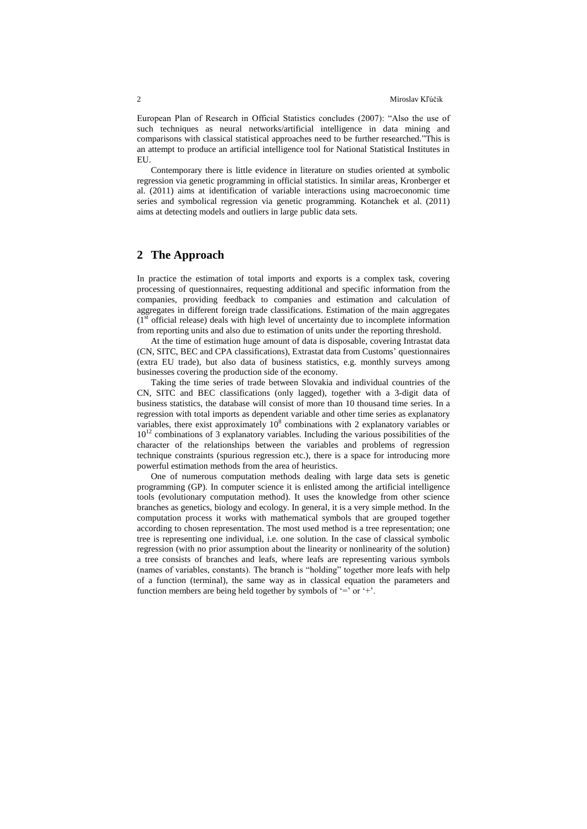European Plan of Research in Official Statistics concludes (2007): "Also the use of such techniques as neural networks/artificial intelligence in data mining and comparisons with classical statistical approaches need to be further researched."This is an attempt to produce an artificial intelligence tool for National Statistical Institutes in EU.

Contemporary there is little evidence in literature on studies oriented at symbolic regression via genetic programming in official statistics. In similar areas, Kronberger et al. (2011) aims at identification of variable interactions using macroeconomic time series and symbolical regression via genetic programming. Kotanchek et al. (2011) aims at detecting models and outliers in large public data sets.

## **2 The Approach**

In practice the estimation of total imports and exports is a complex task, covering processing of questionnaires, requesting additional and specific information from the companies, providing feedback to companies and estimation and calculation of aggregates in different foreign trade classifications. Estimation of the main aggregates  $(1<sup>st</sup>$  official release) deals with high level of uncertainty due to incomplete information from reporting units and also due to estimation of units under the reporting threshold.

At the time of estimation huge amount of data is disposable, covering Intrastat data (CN, SITC, BEC and CPA classifications), Extrastat data from Customs' questionnaires (extra EU trade), but also data of business statistics, e.g. monthly surveys among businesses covering the production side of the economy.

Taking the time series of trade between Slovakia and individual countries of the CN, SITC and BEC classifications (only lagged), together with a 3-digit data of business statistics, the database will consist of more than 10 thousand time series. In a regression with total imports as dependent variable and other time series as explanatory variables, there exist approximately  $10^8$  combinations with 2 explanatory variables or  $10^{12}$  combinations of 3 explanatory variables. Including the various possibilities of the character of the relationships between the variables and problems of regression technique constraints (spurious regression etc.), there is a space for introducing more powerful estimation methods from the area of heuristics.

One of numerous computation methods dealing with large data sets is genetic programming (GP). In computer science it is enlisted among the artificial intelligence tools (evolutionary computation method). It uses the knowledge from other science branches as genetics, biology and ecology. In general, it is a very simple method. In the computation process it works with mathematical symbols that are grouped together according to chosen representation. The most used method is a tree representation; one tree is representing one individual, i.e. one solution. In the case of classical symbolic regression (with no prior assumption about the linearity or nonlinearity of the solution) a tree consists of branches and leafs, where leafs are representing various symbols (names of variables, constants). The branch is "holding" together more leafs with help of a function (terminal), the same way as in classical equation the parameters and function members are being held together by symbols of  $=$  or  $+$ .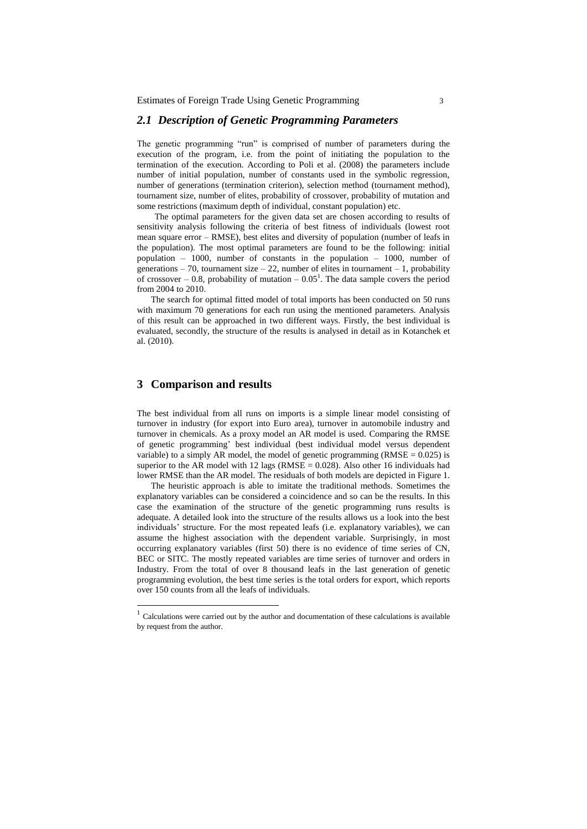### *2.1 Description of Genetic Programming Parameters*

The genetic programming "run" is comprised of number of parameters during the execution of the program, i.e. from the point of initiating the population to the termination of the execution. According to Poli et al. (2008) the parameters include number of initial population, number of constants used in the symbolic regression, number of generations (termination criterion), selection method (tournament method), tournament size, number of elites, probability of crossover, probability of mutation and some restrictions (maximum depth of individual, constant population) etc.

The optimal parameters for the given data set are chosen according to results of sensitivity analysis following the criteria of best fitness of individuals (lowest root mean square error – RMSE), best elites and diversity of population (number of leafs in the population). The most optimal parameters are found to be the following: initial population – 1000, number of constants in the population – 1000, number of generations – 70, tournament size – 22, number of elites in tournament – 1, probability of crossover  $-0.8$ , probability of mutation  $-0.05<sup>1</sup>$ . The data sample covers the period from 2004 to 2010.

The search for optimal fitted model of total imports has been conducted on 50 runs with maximum 70 generations for each run using the mentioned parameters. Analysis of this result can be approached in two different ways. Firstly, the best individual is evaluated, secondly, the structure of the results is analysed in detail as in Kotanchek et al. (2010).

## **3 Comparison and results**

 $\overline{a}$ 

The best individual from all runs on imports is a simple linear model consisting of turnover in industry (for export into Euro area), turnover in automobile industry and turnover in chemicals. As a proxy model an AR model is used. Comparing the RMSE of genetic programming' best individual (best individual model versus dependent variable) to a simply AR model, the model of genetic programming  $(RMSE = 0.025)$  is superior to the AR model with 12 lags (RMSE =  $0.028$ ). Also other 16 individuals had lower RMSE than the AR model. The residuals of both models are depicted in Figure 1.

The heuristic approach is able to imitate the traditional methods. Sometimes the explanatory variables can be considered a coincidence and so can be the results. In this case the examination of the structure of the genetic programming runs results is adequate. A detailed look into the structure of the results allows us a look into the best individuals' structure. For the most repeated leafs (i.e. explanatory variables), we can assume the highest association with the dependent variable. Surprisingly, in most occurring explanatory variables (first 50) there is no evidence of time series of CN, BEC or SITC. The mostly repeated variables are time series of turnover and orders in Industry. From the total of over 8 thousand leafs in the last generation of genetic programming evolution, the best time series is the total orders for export, which reports over 150 counts from all the leafs of individuals.

 $1$  Calculations were carried out by the author and documentation of these calculations is available by request from the author.